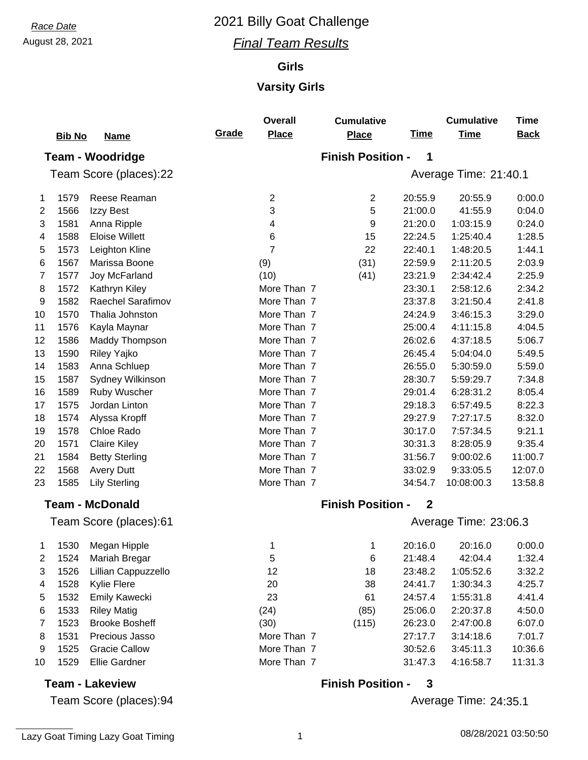#### August 28, 2021 *Final Team Results*

#### **Girls**

#### **Varsity Girls**

|                        | <b>Bib No</b> | <b>Name</b>             | Grade | <b>Overall</b><br><b>Place</b> | <b>Cumulative</b><br><b>Place</b> | <b>Time</b>  | <b>Cumulative</b><br><b>Time</b> | <b>Time</b><br><b>Back</b> |  |  |  |
|------------------------|---------------|-------------------------|-------|--------------------------------|-----------------------------------|--------------|----------------------------------|----------------------------|--|--|--|
|                        |               | <b>Team - Woodridge</b> |       | <b>Finish Position -</b><br>1  |                                   |              |                                  |                            |  |  |  |
|                        |               | Team Score (places):22  |       |                                |                                   |              | Average Time: 21:40.1            |                            |  |  |  |
| 1                      | 1579          | Reese Reaman            |       | $\overline{2}$                 | $\mathbf{2}$                      | 20:55.9      | 20:55.9                          | 0:00.0                     |  |  |  |
| 2                      | 1566          | Izzy Best               |       | 3                              | 5                                 | 21:00.0      | 41:55.9                          | 0:04.0                     |  |  |  |
| 3                      | 1581          | Anna Ripple             |       | 4                              | 9                                 | 21:20.0      | 1:03:15.9                        | 0:24.0                     |  |  |  |
| 4                      | 1588          | <b>Eloise Willett</b>   |       | 6                              | 15                                | 22:24.5      | 1:25:40.4                        | 1:28.5                     |  |  |  |
| 5                      | 1573          | Leighton Kline          |       | $\overline{7}$                 | 22                                | 22:40.1      | 1:48:20.5                        | 1:44.1                     |  |  |  |
| 6                      | 1567          | Marissa Boone           |       | (9)                            | (31)                              | 22:59.9      | 2:11:20.5                        | 2:03.9                     |  |  |  |
| 7                      | 1577          | Joy McFarland           |       | (10)                           | (41)                              | 23:21.9      | 2:34:42.4                        | 2:25.9                     |  |  |  |
| 8                      | 1572          | Kathryn Kiley           |       | More Than 7                    |                                   | 23:30.1      | 2:58:12.6                        | 2:34.2                     |  |  |  |
| 9                      | 1582          | Raechel Sarafimov       |       | More Than 7                    |                                   | 23:37.8      | 3:21:50.4                        | 2:41.8                     |  |  |  |
| 10                     | 1570          | Thalia Johnston         |       | More Than 7                    |                                   | 24:24.9      | 3:46:15.3                        | 3:29.0                     |  |  |  |
| 11                     | 1576          | Kayla Maynar            |       | More Than 7                    |                                   | 25:00.4      | 4:11:15.8                        | 4:04.5                     |  |  |  |
| 12                     | 1586          | Maddy Thompson          |       | More Than 7                    |                                   | 26:02.6      | 4:37:18.5                        | 5:06.7                     |  |  |  |
| 13                     | 1590          | Riley Yajko             |       | More Than 7                    |                                   | 26:45.4      | 5:04:04.0                        | 5:49.5                     |  |  |  |
| 14                     | 1583          | Anna Schluep            |       | More Than 7                    |                                   | 26:55.0      | 5:30:59.0                        | 5:59.0                     |  |  |  |
| 15                     | 1587          | Sydney Wilkinson        |       | More Than 7                    |                                   | 28:30.7      | 5:59:29.7                        | 7:34.8                     |  |  |  |
| 16                     | 1589          | Ruby Wuscher            |       | More Than 7                    |                                   | 29:01.4      | 6:28:31.2                        | 8:05.4                     |  |  |  |
| 17                     | 1575          | Jordan Linton           |       | More Than 7                    |                                   | 29:18.3      | 6:57:49.5                        | 8:22.3                     |  |  |  |
| 18                     | 1574          | Alyssa Kropff           |       | More Than 7                    |                                   | 29:27.9      | 7:27:17.5                        | 8:32.0                     |  |  |  |
| 19                     | 1578          | Chloe Rado              |       | More Than 7                    |                                   | 30:17.0      | 7:57:34.5                        | 9:21.1                     |  |  |  |
| 20                     | 1571          | <b>Claire Kiley</b>     |       | More Than 7                    |                                   | 30:31.3      | 8:28:05.9                        | 9:35.4                     |  |  |  |
| 21                     | 1584          | <b>Betty Sterling</b>   |       | More Than 7                    |                                   | 31:56.7      | 9:00:02.6                        | 11:00.7                    |  |  |  |
| 22                     | 1568          | <b>Avery Dutt</b>       |       | More Than 7                    |                                   | 33:02.9      | 9:33:05.5                        | 12:07.0                    |  |  |  |
| 23                     | 1585          | <b>Lily Sterling</b>    |       | More Than 7                    |                                   | 34:54.7      | 10:08:00.3                       | 13:58.8                    |  |  |  |
|                        |               | <b>Team - McDonald</b>  |       |                                | <b>Finish Position -</b>          | $\mathbf{2}$ |                                  |                            |  |  |  |
| Team Score (places):61 |               |                         |       |                                |                                   |              | Average Time: 23:06.3            |                            |  |  |  |
| 1                      | 1530          | Megan Hipple            |       | 1                              | 1                                 | 20:16.0      | 20:16.0                          | 0:00.0                     |  |  |  |
| 2                      | 1524          | Mariah Bregar           |       | 5                              | 6                                 | 21:48.4      | 42:04.4                          | 1:32.4                     |  |  |  |
| 3                      | 1526          | Lillian Cappuzzello     |       | 12                             | 18                                | 23:48.2      | 1:05:52.6                        | 3:32.2                     |  |  |  |

|    | 1526 | Lillian Cappuzzello   | 12          | 18    | 23:48.2 | 1:05:52.6 | 3:32.2  |
|----|------|-----------------------|-------------|-------|---------|-----------|---------|
| 4  | 1528 | Kylie Flere           | 20          | 38    | 24:41.7 | 1:30:34.3 | 4:25.7  |
| 5  | 1532 | Emily Kawecki         | 23          | 61    | 24:57.4 | 1:55:31.8 | 4:41.4  |
| 6  | 1533 | <b>Riley Matig</b>    | (24)        | (85)  | 25:06.0 | 2:20:37.8 | 4:50.0  |
|    | 1523 | <b>Brooke Bosheff</b> | (30)        | (115) | 26:23.0 | 2:47:00.8 | 6:07.0  |
| 8  | 1531 | Precious Jasso        | More Than 7 |       | 27:17.7 | 3:14:18.6 | 7:01.7  |
| 9  | 1525 | <b>Gracie Callow</b>  | More Than 7 |       | 30:52.6 | 3:45:11.3 | 10:36.6 |
| 10 | 1529 | Ellie Gardner         | More Than 7 |       | 31:47.3 | 4:16:58.7 | 11:31.3 |

#### **Team - Lakeview**

Team Score (places):94

Average Time: 24:35.1

**Finish Position - 3**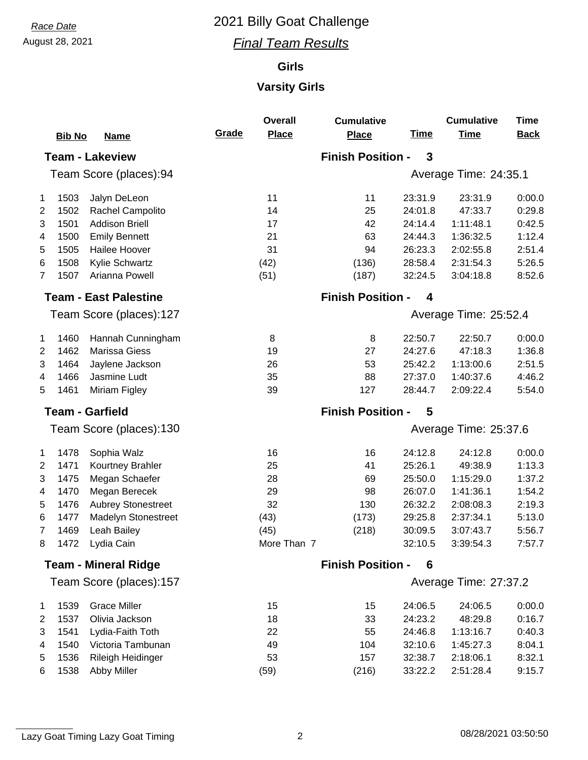## August 28, 2021 *Final Team Results*

### **Girls**

## **Varsity Girls**

|                         | <b>Bib No</b> | <b>Name</b>                  | Grade                         | <b>Overall</b><br><b>Place</b> | <b>Cumulative</b><br><b>Place</b> | <u>Time</u> | <b>Cumulative</b><br><b>Time</b> | <b>Time</b><br><b>Back</b> |  |
|-------------------------|---------------|------------------------------|-------------------------------|--------------------------------|-----------------------------------|-------------|----------------------------------|----------------------------|--|
|                         |               | <b>Team - Lakeview</b>       | <b>Finish Position -</b><br>3 |                                |                                   |             |                                  |                            |  |
|                         |               | Team Score (places):94       |                               | Average Time: 24:35.1          |                                   |             |                                  |                            |  |
| 1                       | 1503          | Jalyn DeLeon                 |                               | 11                             | 11                                | 23:31.9     | 23:31.9                          | 0:00.0                     |  |
| $\overline{2}$          | 1502          | Rachel Campolito             |                               | 14                             | 25                                | 24:01.8     | 47:33.7                          | 0:29.8                     |  |
| 3                       | 1501          | <b>Addison Briell</b>        |                               | 17                             | 42                                | 24:14.4     | 1:11:48.1                        | 0:42.5                     |  |
| 4                       | 1500          | <b>Emily Bennett</b>         |                               | 21                             | 63                                | 24:44.3     | 1:36:32.5                        | 1:12.4                     |  |
| 5                       | 1505          | Hailee Hoover                |                               | 31                             | 94                                | 26:23.3     | 2:02:55.8                        | 2:51.4                     |  |
| 6                       | 1508          | Kylie Schwartz               |                               | (42)                           | (136)                             | 28:58.4     | 2:31:54.3                        | 5:26.5                     |  |
| $\overline{7}$          | 1507          | Arianna Powell               |                               | (51)                           | (187)                             | 32:24.5     | 3:04:18.8                        | 8:52.6                     |  |
|                         |               | <b>Team - East Palestine</b> |                               |                                | <b>Finish Position -</b>          | 4           |                                  |                            |  |
|                         |               | Team Score (places):127      |                               |                                |                                   |             | Average Time: 25:52.4            |                            |  |
| $\mathbf{1}$            | 1460          | Hannah Cunningham            |                               | 8                              | 8                                 | 22:50.7     | 22:50.7                          | 0:00.0                     |  |
| 2                       | 1462          | Marissa Giess                |                               | 19                             | 27                                | 24:27.6     | 47:18.3                          | 1:36.8                     |  |
| 3                       | 1464          | Jaylene Jackson              |                               | 26                             | 53                                | 25:42.2     | 1:13:00.6                        | 2:51.5                     |  |
| 4                       | 1466          | Jasmine Ludt                 |                               | 35                             | 88                                | 27:37.0     | 1:40:37.6                        | 4:46.2                     |  |
| 5                       | 1461          | Miriam Figley                |                               | 39                             | 127                               | 28:44.7     | 2:09:22.4                        | 5:54.0                     |  |
| <b>Team - Garfield</b>  |               |                              |                               | <b>Finish Position -</b>       | 5                                 |             |                                  |                            |  |
|                         |               | Team Score (places):130      |                               | Average Time: 25:37.6          |                                   |             |                                  |                            |  |
| $\mathbf{1}$            | 1478          | Sophia Walz                  |                               | 16                             | 16                                | 24:12.8     | 24:12.8                          | 0:00.0                     |  |
| 2                       | 1471          | Kourtney Brahler             |                               | 25                             | 41                                | 25:26.1     | 49:38.9                          | 1:13.3                     |  |
| 3                       | 1475          | Megan Schaefer               |                               | 28                             | 69                                | 25:50.0     | 1:15:29.0                        | 1:37.2                     |  |
| 4                       | 1470          | Megan Berecek                |                               | 29                             | 98                                | 26:07.0     | 1:41:36.1                        | 1:54.2                     |  |
| 5                       | 1476          | <b>Aubrey Stonestreet</b>    |                               | 32                             | 130                               | 26:32.2     | 2:08:08.3                        | 2:19.3                     |  |
| 6                       | 1477          | <b>Madelyn Stonestreet</b>   |                               | (43)                           | (173)                             | 29:25.8     | 2:37:34.1                        | 5:13.0                     |  |
| 7                       | 1469          | Leah Bailey                  |                               | (45)                           | (218)                             | 30:09.5     | 3:07:43.7                        | 5:56.7                     |  |
| 8                       |               | 1472 Lydia Cain              |                               | More Than 7                    |                                   | 32:10.5     | 3:39:54.3                        | 7:57.7                     |  |
|                         |               | <b>Team - Mineral Ridge</b>  | <b>Finish Position -</b><br>6 |                                |                                   |             |                                  |                            |  |
| Team Score (places):157 |               |                              |                               |                                |                                   |             | Average Time: 27:37.2            |                            |  |
| $\mathbf{1}$            | 1539          | <b>Grace Miller</b>          |                               | 15                             | 15                                | 24:06.5     | 24:06.5                          | 0:00.0                     |  |
| $\overline{c}$          | 1537          | Olivia Jackson               |                               | 18                             | 33                                | 24:23.2     | 48:29.8                          | 0:16.7                     |  |
| 3                       | 1541          | Lydia-Faith Toth             |                               | 22                             | 55                                | 24:46.8     | 1:13:16.7                        | 0:40.3                     |  |
| 4                       | 1540          | Victoria Tambunan            |                               | 49                             | 104                               | 32:10.6     | 1:45:27.3                        | 8:04.1                     |  |
| 5                       | 1536          | Rileigh Heidinger            |                               | 53                             | 157                               | 32:38.7     | 2:18:06.1                        | 8:32.1                     |  |
| 6                       | 1538          | Abby Miller                  |                               | (59)                           | (216)                             | 33:22.2     | 2:51:28.4                        | 9:15.7                     |  |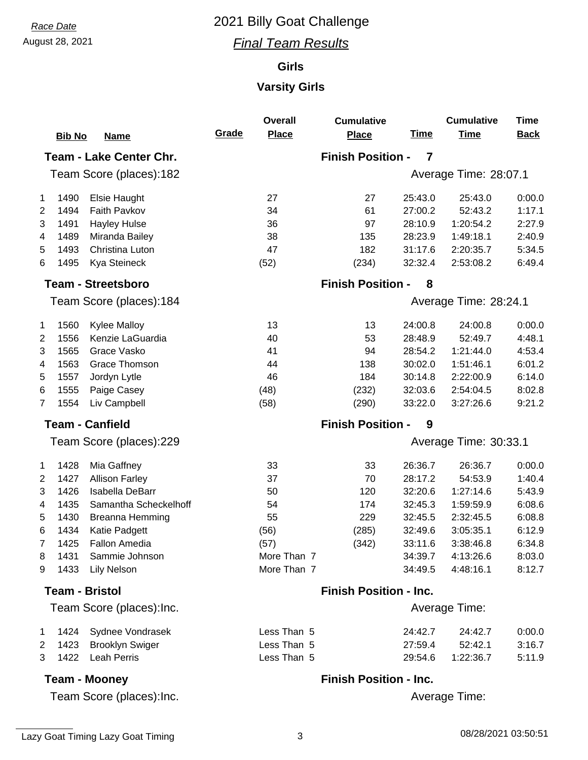### August 28, 2021 *Final Team Results*

### **Girls**

### **Varsity Girls**

|                           | <b>Bib No</b> | <b>Name</b>                    | Grade                         | <b>Overall</b><br><b>Place</b> | <b>Cumulative</b><br><b>Place</b> | <u>Time</u> | <b>Cumulative</b><br><b>Time</b> | <b>Time</b><br><b>Back</b> |  |
|---------------------------|---------------|--------------------------------|-------------------------------|--------------------------------|-----------------------------------|-------------|----------------------------------|----------------------------|--|
|                           |               | <b>Team - Lake Center Chr.</b> | <b>Finish Position -</b><br>7 |                                |                                   |             |                                  |                            |  |
|                           |               | Team Score (places):182        |                               |                                |                                   |             | Average Time: 28:07.1            |                            |  |
| $\mathbf 1$               | 1490          | Elsie Haught                   |                               | 27                             | 27                                | 25:43.0     | 25:43.0                          | 0:00.0                     |  |
| $\overline{2}$            | 1494          | Faith Pavkov                   |                               | 34                             | 61                                | 27:00.2     | 52:43.2                          | 1:17.1                     |  |
| 3                         | 1491          | <b>Hayley Hulse</b>            |                               | 36                             | 97                                | 28:10.9     | 1:20:54.2                        | 2:27.9                     |  |
| 4                         | 1489          | Miranda Bailey                 |                               | 38                             | 135                               | 28:23.9     | 1:49:18.1                        | 2:40.9                     |  |
| 5                         | 1493          | Christina Luton                |                               | 47                             | 182                               | 31:17.6     | 2:20:35.7                        | 5:34.5                     |  |
| 6                         | 1495          | Kya Steineck                   |                               | (52)                           | (234)                             | 32:32.4     | 2:53:08.2                        | 6:49.4                     |  |
|                           |               | <b>Team - Streetsboro</b>      |                               |                                | <b>Finish Position -</b>          | 8           |                                  |                            |  |
|                           |               | Team Score (places):184        |                               |                                |                                   |             | Average Time: 28:24.1            |                            |  |
| 1                         | 1560          | <b>Kylee Malloy</b>            |                               | 13                             | 13                                | 24:00.8     | 24:00.8                          | 0:00.0                     |  |
| $\overline{2}$            | 1556          | Kenzie LaGuardia               |                               | 40                             | 53                                | 28:48.9     | 52:49.7                          | 4:48.1                     |  |
| 3                         | 1565          | Grace Vasko                    |                               | 41                             | 94                                | 28:54.2     | 1:21:44.0                        | 4:53.4                     |  |
| 4                         | 1563          | <b>Grace Thomson</b>           |                               | 44                             | 138                               | 30:02.0     | 1:51:46.1                        | 6:01.2                     |  |
| 5                         | 1557          | Jordyn Lytle                   |                               | 46                             | 184                               | 30:14.8     | 2:22:00.9                        | 6:14.0                     |  |
| 6                         | 1555          | Paige Casey                    |                               | (48)                           | (232)                             | 32:03.6     | 2:54:04.5                        | 8:02.8                     |  |
| $\overline{7}$            | 1554          | Liv Campbell                   |                               | (58)                           | (290)                             | 33:22.0     | 3:27:26.6                        | 9:21.2                     |  |
| <b>Team - Canfield</b>    |               |                                | <b>Finish Position -</b><br>9 |                                |                                   |             |                                  |                            |  |
|                           |               | Team Score (places):229        |                               |                                | Average Time: 30:33.1             |             |                                  |                            |  |
| 1                         | 1428          | Mia Gaffney                    |                               | 33                             | 33                                | 26:36.7     | 26:36.7                          | 0:00.0                     |  |
| 2                         | 1427          | <b>Allison Farley</b>          |                               | 37                             | 70                                | 28:17.2     | 54:53.9                          | 1:40.4                     |  |
| 3                         | 1426          | <b>Isabella DeBarr</b>         |                               | 50                             | 120                               | 32:20.6     | 1:27:14.6                        | 5:43.9                     |  |
| 4                         | 1435          | Samantha Scheckelhoff          |                               | 54                             | 174                               | 32:45.3     | 1:59:59.9                        | 6:08.6                     |  |
| 5                         | 1430          | Breanna Hemming                |                               | 55                             | 229                               | 32:45.5     | 2:32:45.5                        | 6:08.8                     |  |
| 6                         | 1434          | Katie Padgett                  |                               | (56)                           | (285)                             | 32:49.6     | 3:05:35.1                        | 6:12.9                     |  |
| $\overline{7}$            | 1425          | <b>Fallon Amedia</b>           |                               | (57)                           | (342)                             | 33:11.6     | 3:38:46.8                        | 6:34.8                     |  |
| 8                         | 1431          | Sammie Johnson                 |                               | More Than 7                    |                                   | 34:39.7     | 4:13:26.6                        | 8:03.0                     |  |
| 9                         | 1433          | <b>Lily Nelson</b>             |                               | More Than 7                    |                                   | 34:49.5     | 4:48:16.1                        | 8:12.7                     |  |
| <b>Team - Bristol</b>     |               | <b>Finish Position - Inc.</b>  |                               |                                |                                   |             |                                  |                            |  |
| Team Score (places): Inc. |               |                                |                               |                                |                                   |             | Average Time:                    |                            |  |
| 1                         | 1424          | Sydnee Vondrasek               |                               | Less Than 5                    |                                   | 24:42.7     | 24:42.7                          | 0:00.0                     |  |
| 2                         | 1423          | <b>Brooklyn Swiger</b>         |                               | Less Than 5                    |                                   | 27:59.4     | 52:42.1                          | 3:16.7                     |  |
| 3                         | 1422          | <b>Leah Perris</b>             |                               | Less Than 5                    |                                   | 29:54.6     | 1:22:36.7                        | 5:11.9                     |  |
| <b>Team - Mooney</b>      |               |                                |                               |                                | <b>Finish Position - Inc.</b>     |             |                                  |                            |  |

Team Score (places):Inc.

Average Time: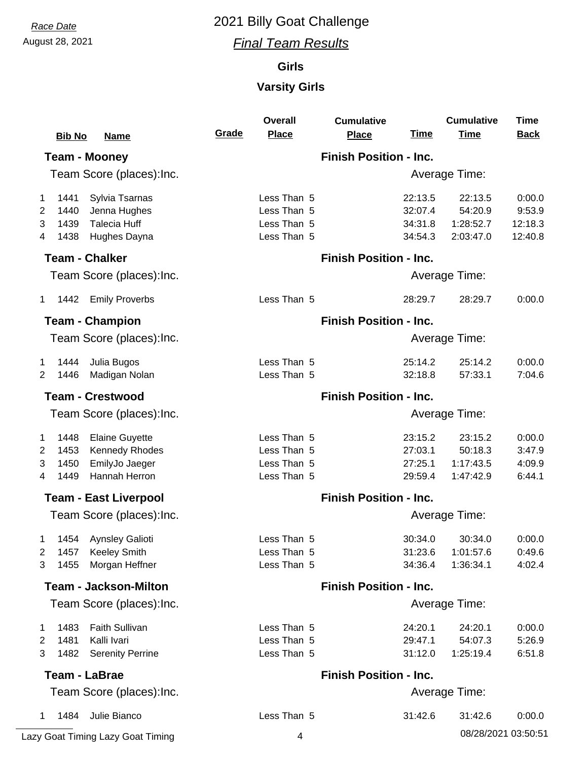## August 28, 2021 *Final Team Results*

### **Girls**

## **Varsity Girls**

|                        | <b>Bib No</b><br><b>Name</b>                                                                                      | Grade                         | <b>Overall</b><br><b>Place</b>                           | <b>Cumulative</b><br><b>Place</b> | <u>Time</u>                              | <b>Cumulative</b><br><b>Time</b>             | <b>Time</b><br><b>Back</b>             |  |  |
|------------------------|-------------------------------------------------------------------------------------------------------------------|-------------------------------|----------------------------------------------------------|-----------------------------------|------------------------------------------|----------------------------------------------|----------------------------------------|--|--|
|                        | <b>Team - Mooney</b>                                                                                              |                               | <b>Finish Position - Inc.</b>                            |                                   |                                          |                                              |                                        |  |  |
|                        | Team Score (places):Inc.                                                                                          |                               |                                                          |                                   |                                          | Average Time:                                |                                        |  |  |
| 1<br>2<br>3<br>4       | Sylvia Tsarnas<br>1441<br>Jenna Hughes<br>1440<br><b>Talecia Huff</b><br>1439<br>1438<br>Hughes Dayna             |                               | Less Than 5<br>Less Than 5<br>Less Than 5<br>Less Than 5 |                                   | 22:13.5<br>32:07.4<br>34:31.8<br>34:54.3 | 22:13.5<br>54:20.9<br>1:28:52.7<br>2:03:47.0 | 0:00.0<br>9:53.9<br>12:18.3<br>12:40.8 |  |  |
|                        | <b>Team - Chalker</b>                                                                                             |                               |                                                          | <b>Finish Position - Inc.</b>     |                                          |                                              |                                        |  |  |
|                        | Team Score (places): Inc.                                                                                         |                               |                                                          |                                   |                                          | Average Time:                                |                                        |  |  |
| $\mathbf{1}$           | 1442 Emily Proverbs                                                                                               |                               | Less Than 5                                              |                                   | 28:29.7                                  | 28:29.7                                      | 0:00.0                                 |  |  |
|                        | <b>Team - Champion</b>                                                                                            |                               |                                                          | <b>Finish Position - Inc.</b>     |                                          |                                              |                                        |  |  |
|                        | Team Score (places): Inc.                                                                                         |                               |                                                          |                                   |                                          | Average Time:                                |                                        |  |  |
| 1.<br>2                | Julia Bugos<br>1444<br>1446<br>Madigan Nolan                                                                      |                               | Less Than 5<br>Less Than 5                               |                                   | 25:14.2<br>32:18.8                       | 25:14.2<br>57:33.1                           | 0:00.0<br>7:04.6                       |  |  |
|                        | <b>Team - Crestwood</b>                                                                                           | <b>Finish Position - Inc.</b> |                                                          |                                   |                                          |                                              |                                        |  |  |
|                        | Team Score (places): Inc.                                                                                         |                               | Average Time:                                            |                                   |                                          |                                              |                                        |  |  |
| 1<br>2<br>3<br>4       | 1448<br><b>Elaine Guyette</b><br><b>Kennedy Rhodes</b><br>1453<br>EmilyJo Jaeger<br>1450<br>Hannah Herron<br>1449 |                               | Less Than 5<br>Less Than 5<br>Less Than 5<br>Less Than 5 |                                   | 23:15.2<br>27:03.1<br>27:25.1<br>29:59.4 | 23:15.2<br>50:18.3<br>1:17:43.5<br>1:47:42.9 | 0:00.0<br>3:47.9<br>4:09.9<br>6:44.1   |  |  |
|                        | <b>Team - East Liverpool</b>                                                                                      | <b>Finish Position - Inc.</b> |                                                          |                                   |                                          |                                              |                                        |  |  |
|                        | Team Score (places): Inc.                                                                                         |                               | Average Time:                                            |                                   |                                          |                                              |                                        |  |  |
| $\mathbf{1}$<br>2<br>3 | 1454 Aynsley Galioti<br><b>Keeley Smith</b><br>1457<br>Morgan Heffner<br>1455                                     |                               | Less Than 5<br>Less Than 5<br>Less Than 5                |                                   | 30:34.0<br>31:23.6<br>34:36.4            | 30:34.0<br>1:01:57.6<br>1:36:34.1            | 0:00.0<br>0:49.6<br>4:02.4             |  |  |
|                        | <b>Team - Jackson-Milton</b>                                                                                      |                               | <b>Finish Position - Inc.</b>                            |                                   |                                          |                                              |                                        |  |  |
|                        | Team Score (places): Inc.                                                                                         |                               |                                                          |                                   |                                          | Average Time:                                |                                        |  |  |
| 1<br>2<br>3            | <b>Faith Sullivan</b><br>1483<br>Kalli Ivari<br>1481<br>1482<br><b>Serenity Perrine</b>                           |                               | Less Than 5<br>Less Than 5<br>Less Than 5                |                                   | 24:20.1<br>29:47.1<br>31:12.0            | 24:20.1<br>54:07.3<br>1:25:19.4              | 0:00.0<br>5:26.9<br>6:51.8             |  |  |
|                        | <b>Team - LaBrae</b>                                                                                              | <b>Finish Position - Inc.</b> |                                                          |                                   |                                          |                                              |                                        |  |  |
|                        | Team Score (places): Inc.                                                                                         |                               |                                                          |                                   |                                          | Average Time:                                |                                        |  |  |
| $\mathbf{1}$           | 1484<br>Julie Bianco                                                                                              |                               | Less Than 5                                              |                                   | 31:42.6                                  | 31:42.6                                      | 0:00.0                                 |  |  |

Lazy Goat Timing Lazy Goat Timing 4 08/28/2021 03:50:51